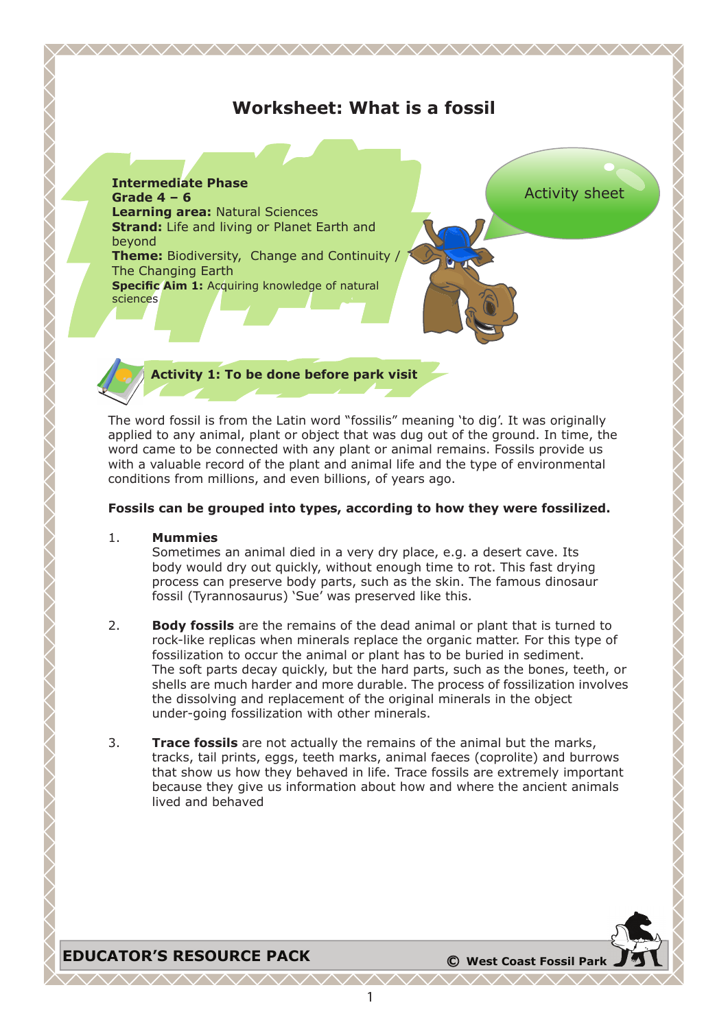# **Worksheet: What is a fossil**

<u> VYYYYYYYYYYYYYYYYYYYYYYYYYYYYY</u>



**Activity 1: To be done before park visit**

The word fossil is from the Latin word "fossilis" meaning 'to dig'. It was originally applied to any animal, plant or object that was dug out of the ground. In time, the word came to be connected with any plant or animal remains. Fossils provide us with a valuable record of the plant and animal life and the type of environmental conditions from millions, and even billions, of years ago.

#### **Fossils can be grouped into types, according to how they were fossilized.**

#### 1. **Mummies**

Sometimes an animal died in a very dry place, e.g. a desert cave. Its body would dry out quickly, without enough time to rot. This fast drying process can preserve body parts, such as the skin. The famous dinosaur fossil (Tyrannosaurus) 'Sue' was preserved like this.

- 2. **Body fossils** are the remains of the dead animal or plant that is turned to rock-like replicas when minerals replace the organic matter. For this type of fossilization to occur the animal or plant has to be buried in sediment. The soft parts decay quickly, but the hard parts, such as the bones, teeth, or shells are much harder and more durable. The process of fossilization involves the dissolving and replacement of the original minerals in the object under-going fossilization with other minerals.
- 3. **Trace fossils** are not actually the remains of the animal but the marks, tracks, tail prints, eggs, teeth marks, animal faeces (coprolite) and burrows that show us how they behaved in life. Trace fossils are extremely important because they give us information about how and where the ancient animals lived and behaved

**EDUCATOR'S RESOURCE PACK**  $\bullet$  **C** West Coast Fossil Park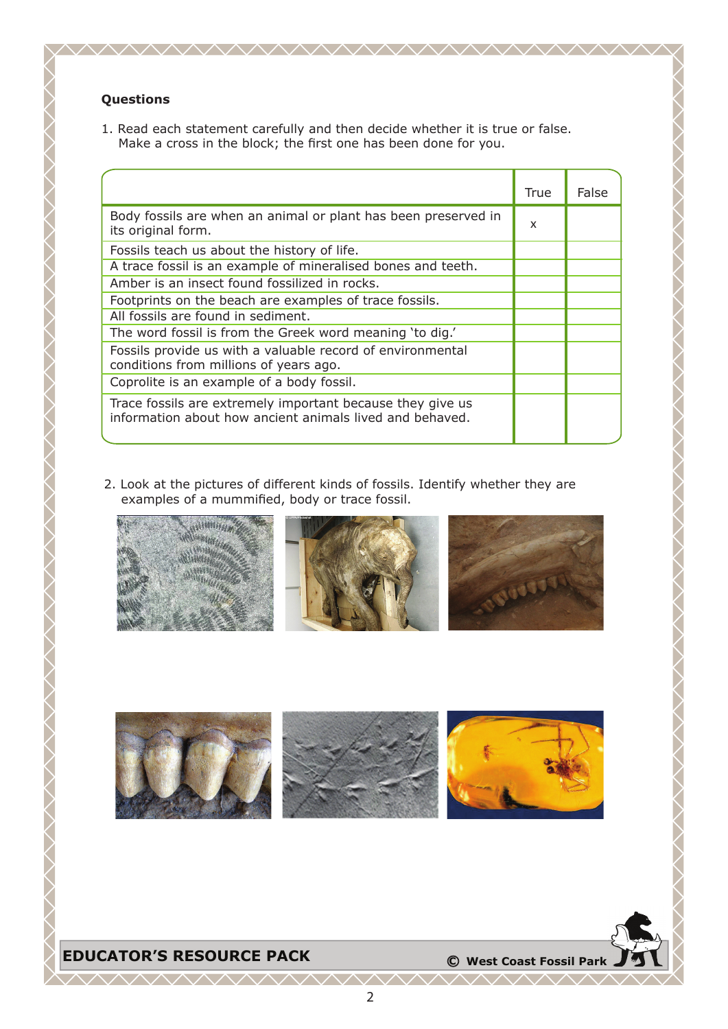## **Questions**

1. Read each statement carefully and then decide whether it is true or false. Make a cross in the block; the first one has been done for you.

|                                                                                                                        | True | False |
|------------------------------------------------------------------------------------------------------------------------|------|-------|
| Body fossils are when an animal or plant has been preserved in<br>its original form.                                   | x    |       |
| Fossils teach us about the history of life.                                                                            |      |       |
| A trace fossil is an example of mineralised bones and teeth.                                                           |      |       |
| Amber is an insect found fossilized in rocks.                                                                          |      |       |
| Footprints on the beach are examples of trace fossils.                                                                 |      |       |
| All fossils are found in sediment.                                                                                     |      |       |
| The word fossil is from the Greek word meaning 'to dig.'                                                               |      |       |
| Fossils provide us with a valuable record of environmental<br>conditions from millions of years ago.                   |      |       |
| Coprolite is an example of a body fossil.                                                                              |      |       |
| Trace fossils are extremely important because they give us<br>information about how ancient animals lived and behaved. |      |       |

2. Look at the pictures of different kinds of fossils. Identify whether they are examples of a mummified, body or trace fossil.







 $\wedge\wedge\wedge$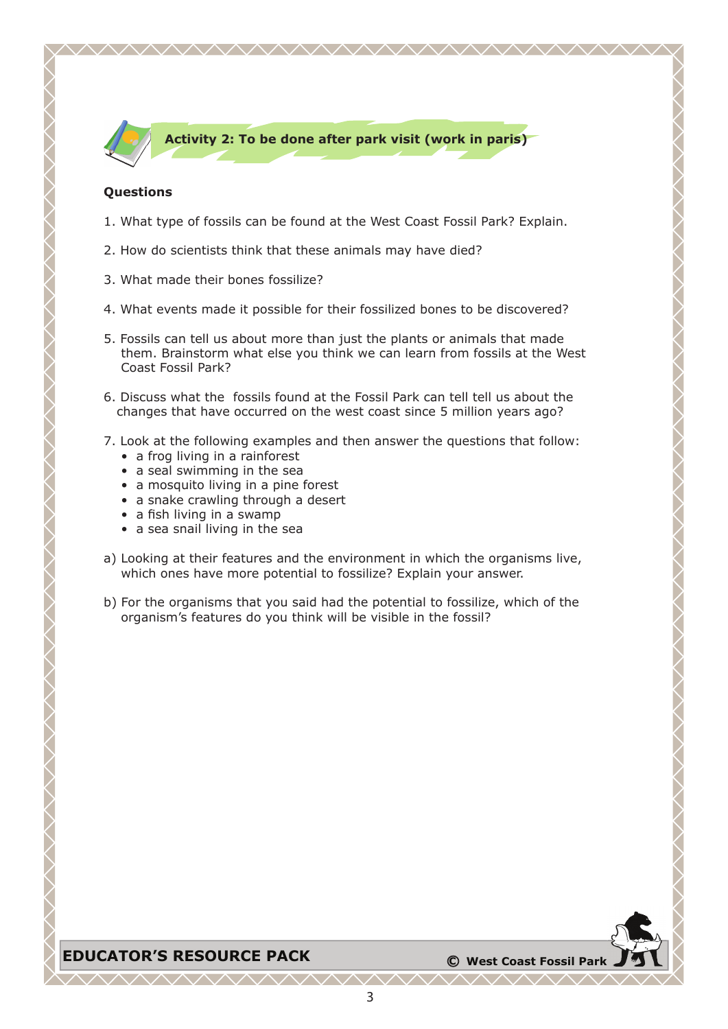

### **Activity 2: To be done after park visit (work in paris)**

<u> WWW.WWW.WWW.WWW.W</u>

### **Questions**

- 1. What type of fossils can be found at the West Coast Fossil Park? Explain.
- 2. How do scientists think that these animals may have died?
- 3. What made their bones fossilize?
- 4. What events made it possible for their fossilized bones to be discovered?
- 5. Fossils can tell us about more than just the plants or animals that made them. Brainstorm what else you think we can learn from fossils at the West Coast Fossil Park?
- 6. Discuss what the fossils found at the Fossil Park can tell tell us about the changes that have occurred on the west coast since 5 million years ago?
- 7. Look at the following examples and then answer the questions that follow:
	- a frog living in a rainforest
	- a seal swimming in the sea
	- a mosquito living in a pine forest
	- a snake crawling through a desert
	- a fish living in a swamp
	- a sea snail living in the sea
- a) Looking at their features and the environment in which the organisms live, which ones have more potential to fossilize? Explain your answer.
- b) For the organisms that you said had the potential to fossilize, which of the organism's features do you think will be visible in the fossil?

## **EDUCATOR'S RESOURCE PACK <sup>C</sup> West Coast Fossil Park**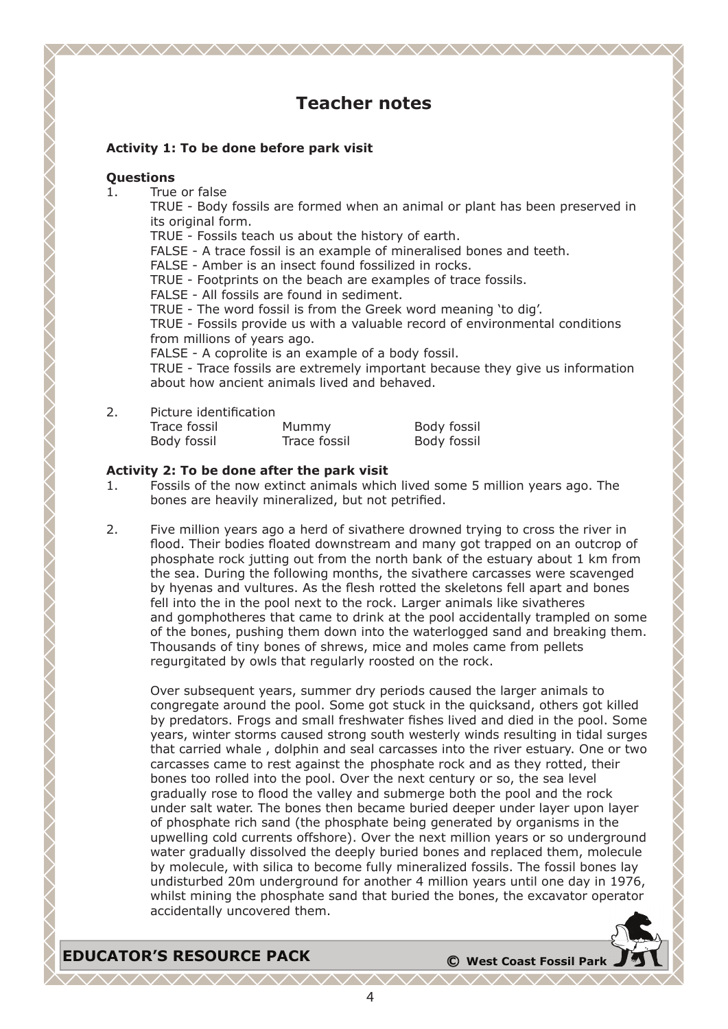# **Teacher notes**

### **Activity 1: To be done before park visit**

### **Questions**

1. True or false

TRUE - Body fossils are formed when an animal or plant has been preserved in its original form.

TRUE - Fossils teach us about the history of earth.

FALSE - A trace fossil is an example of mineralised bones and teeth.

FALSE - Amber is an insect found fossilized in rocks.

TRUE - Footprints on the beach are examples of trace fossils.

FALSE - All fossils are found in sediment.

TRUE - The word fossil is from the Greek word meaning 'to dig'.

TRUE - Fossils provide us with a valuable record of environmental conditions from millions of years ago.

FALSE - A coprolite is an example of a body fossil.

TRUE - Trace fossils are extremely important because they give us information about how ancient animals lived and behaved.

2. Picture identification

| Trace fossil | Mummy        | Body fossil |
|--------------|--------------|-------------|
| Body fossil  | Trace fossil | Body fossil |

### **Activity 2: To be done after the park visit**

- 1. Fossils of the now extinct animals which lived some 5 million years ago. The bones are heavily mineralized, but not petrified.
- 2. Five million years ago a herd of sivathere drowned trying to cross the river in flood. Their bodies floated downstream and many got trapped on an outcrop of phosphate rock jutting out from the north bank of the estuary about 1 km from the sea. During the following months, the sivathere carcasses were scavenged by hyenas and vultures. As the flesh rotted the skeletons fell apart and bones fell into the in the pool next to the rock. Larger animals like sivatheres and gomphotheres that came to drink at the pool accidentally trampled on some of the bones, pushing them down into the waterlogged sand and breaking them. Thousands of tiny bones of shrews, mice and moles came from pellets regurgitated by owls that regularly roosted on the rock.

Over subsequent years, summer dry periods caused the larger animals to congregate around the pool. Some got stuck in the quicksand, others got killed by predators. Frogs and small freshwater fishes lived and died in the pool. Some years, winter storms caused strong south westerly winds resulting in tidal surges that carried whale , dolphin and seal carcasses into the river estuary. One or two carcasses came to rest against the phosphate rock and as they rotted, their bones too rolled into the pool. Over the next century or so, the sea level gradually rose to flood the valley and submerge both the pool and the rock under salt water. The bones then became buried deeper under layer upon layer of phosphate rich sand (the phosphate being generated by organisms in the upwelling cold currents offshore). Over the next million years or so underground water gradually dissolved the deeply buried bones and replaced them, molecule by molecule, with silica to become fully mineralized fossils. The fossil bones lay undisturbed 20m underground for another 4 million years until one day in 1976, whilst mining the phosphate sand that buried the bones, the excavator operator accidentally uncovered them.

**EDUCATOR'S RESOURCE PACK <sup>C</sup> West Coast Fossil Park**

ヽ∧∧∧∧∧∧∧∧